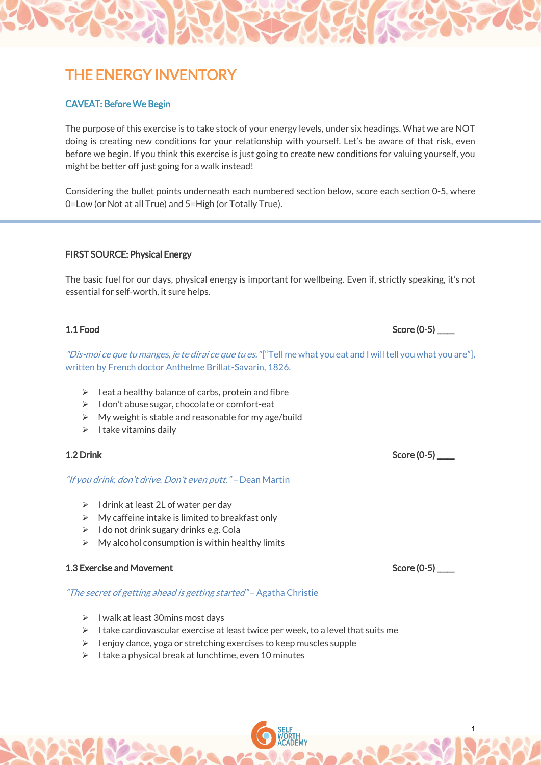# THE ENERGY INVENTORY

# CAVEAT: Before We Begin

The purpose of this exercise is to take stock of your energy levels, under six headings. What we are NOT doing is creating new conditions for your relationship with yourself. Let's be aware of that risk, even before we begin. If you think this exercise is just going to create new conditions for valuing yourself, you might be better off just going for a walk instead!

Considering the bullet points underneath each numbered section below, score each section 0-5, where 0=Low (or Not at all True) and 5=High (or Totally True).

# FIRST SOURCE: Physical Energy

The basic fuel for our days, physical energy is important for wellbeing. Even if, strictly speaking, it's not essential for self-worth, it sure helps.

"Dis-moi ce que tu manges, je te dirai ce que tu es. "["Tell me what you eat and I will tell you what you are"], written by French doctor Anthelme Brillat-Savarin, 1826.

- $\triangleright$  I eat a healthy balance of carbs, protein and fibre
- ➢ I don't abuse sugar, chocolate or comfort-eat
- $\triangleright$  My weight is stable and reasonable for my age/build
- $\triangleright$  I take vitamins daily

# 1.2 Drink Score (0-5)

# "If you drink, don't drive. Don't even putt." – Dean Martin

- $\triangleright$  I drink at least 2L of water per day
- $\triangleright$  My caffeine intake is limited to breakfast only
- $\triangleright$  I do not drink sugary drinks e.g. Cola
- $\triangleright$  My alcohol consumption is within healthy limits

# 1.3 Exercise and Movement New York Score (0-5) Later Score (0-5) Later Score (0-5)

# "The secret of getting ahead is getting started" - Agatha Christie

- ➢ I walk at least 30mins most days
- $\triangleright$  I take cardiovascular exercise at least twice per week, to a level that suits me
- $\triangleright$  I enjoy dance, yoga or stretching exercises to keep muscles supple
- ➢ I take a physical break at lunchtime, even 10 minutes

# 1.1 Food Score (0-5)

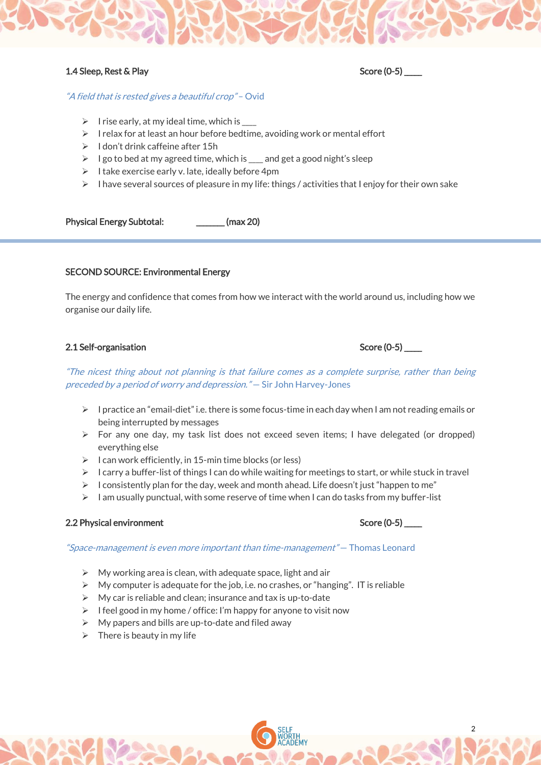# 1.4 Sleep, Rest & Play Score (0-5) \_\_\_\_\_

# "A field that is rested gives a beautiful crop" - Ovid

- $\triangleright$  I rise early, at my ideal time, which is  $\perp$
- $\triangleright$  I relax for at least an hour before bedtime, avoiding work or mental effort
- $\triangleright$  I don't drink caffeine after 15h
- ➢ I go to bed at my agreed time, which is \_\_\_\_ and get a good night's sleep
- $\triangleright$  I take exercise early v. late, ideally before 4pm
- $\triangleright$  I have several sources of pleasure in my life: things / activities that I enjoy for their own sake

Physical Energy Subtotal: \_\_\_\_\_\_\_\_\_ (max 20)

# SECOND SOURCE: Environmental Energy

The energy and confidence that comes from how we interact with the world around us, including how we organise our daily life.

# 2.1 Self-organisation Score (0-5) \_\_\_\_\_

"The nicest thing about not planning is that failure comes as a complete surprise, rather than being preceded by a period of worry and depression." — Sir John Harvey-Jones

- $\triangleright$  I practice an "email-diet" i.e. there is some focus-time in each day when I am not reading emails or being interrupted by messages
- ➢ For any one day, my task list does not exceed seven items; I have delegated (or dropped) everything else
- $\triangleright$  I can work efficiently, in 15-min time blocks (or less)
- $\triangleright$  I carry a buffer-list of things I can do while waiting for meetings to start, or while stuck in travel
- $\triangleright$  I consistently plan for the day, week and month ahead. Life doesn't just "happen to me"
- $\triangleright$  I am usually punctual, with some reserve of time when I can do tasks from my buffer-list

# 2.2 Physical environment  $\sim$  2.2 Physical environment Score (0-5)

"Space-management is even more important than time-management" — Thomas Leonard

- $\triangleright$  My working area is clean, with adequate space, light and air
- $\triangleright$  My computer is adequate for the job, i.e. no crashes, or "hanging". IT is reliable
- $\triangleright$  My car is reliable and clean; insurance and tax is up-to-date
- $\triangleright$  I feel good in my home / office: I'm happy for anyone to visit now
- $\triangleright$  My papers and bills are up-to-date and filed away
- $\triangleright$  There is beauty in my life

2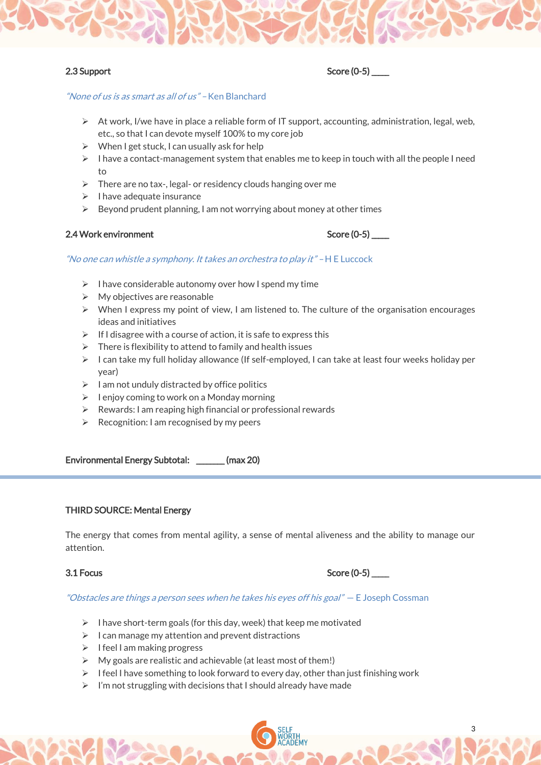

# 2.3 Support Score (0-5)

# "None of us is as smart as all of us" – Ken Blanchard

- $\triangleright$  At work, I/we have in place a reliable form of IT support, accounting, administration, legal, web, etc., so that I can devote myself 100% to my core job
- $\triangleright$  When I get stuck, I can usually ask for help
- $\triangleright$  I have a contact-management system that enables me to keep in touch with all the people I need to
- $\triangleright$  There are no tax-, legal- or residency clouds hanging over me
- $\triangleright$  I have adequate insurance
- $\triangleright$  Beyond prudent planning, I am not worrying about money at other times

# 2.4 Work environment

| Score (0-5) |  |  |
|-------------|--|--|
|-------------|--|--|

# "No one can whistle a symphony. It takes an orchestra to play it" – H E Luccock

- $\triangleright$  I have considerable autonomy over how I spend my time
- $\triangleright$  My objectives are reasonable
- ➢ When I express my point of view, I am listened to. The culture of the organisation encourages ideas and initiatives
- $\triangleright$  If I disagree with a course of action, it is safe to express this
- $\triangleright$  There is flexibility to attend to family and health issues
- $\triangleright$  I can take my full holiday allowance (If self-employed, I can take at least four weeks holiday per year)
- $\geq 1$  am not unduly distracted by office politics
- $\triangleright$  I enjoy coming to work on a Monday morning
- $\triangleright$  Rewards: I am reaping high financial or professional rewards
- $\triangleright$  Recognition: I am recognised by my peers

Environmental Energy Subtotal: \_\_\_\_\_\_\_\_ (max 20)

### THIRD SOURCE: Mental Energy

The energy that comes from mental agility, a sense of mental aliveness and the ability to manage our attention.

# 3.1 Focus Score (0-5) \_\_\_\_\_

3

### "Obstacles are things a person sees when he takes his eyes off his goal" – E Joseph Cossman

- $\triangleright$  I have short-term goals (for this day, week) that keep me motivated
- $\triangleright$  I can manage my attention and prevent distractions
- ➢ I feel I am making progress
- $\triangleright$  My goals are realistic and achievable (at least most of them!)
- $\triangleright$  I feel I have something to look forward to every day, other than just finishing work
- $\triangleright$  I'm not struggling with decisions that I should already have made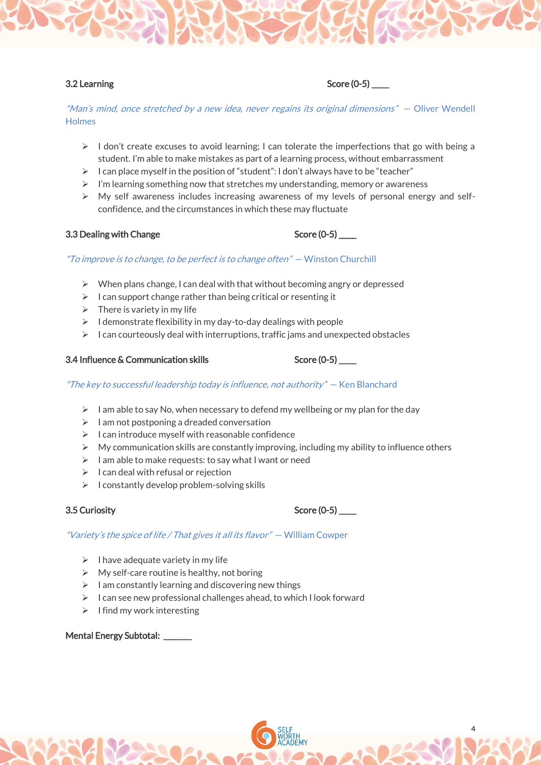"Man's mind, once stretched by a new idea, never regains its original dimensions" — Oliver Wendell **Holmes** 

- $\triangleright$  I don't create excuses to avoid learning; I can tolerate the imperfections that go with being a student. I'm able to make mistakes as part of a learning process, without embarrassment
- $\triangleright$  I can place myself in the position of "student": I don't always have to be "teacher"
- ➢ I'm learning something now that stretches my understanding, memory or awareness
- $\triangleright$  My self awareness includes increasing awareness of my levels of personal energy and selfconfidence, and the circumstances in which these may fluctuate

# 3.3 Dealing with Change Score (0-5) Score (0-5)

### "To improve is to change, to be perfect is to change often"  $-$  Winston Churchill

- $\triangleright$  When plans change, I can deal with that without becoming angry or depressed
- $\triangleright$  I can support change rather than being critical or resenting it
- $\triangleright$  There is variety in my life
- $\triangleright$  I demonstrate flexibility in my day-to-day dealings with people
- ➢ I can courteously deal with interruptions, traffic jams and unexpected obstacles

### 3.4 Influence & Communication skills Score (0-5)

### "The key to successful leadership today is influence, not authority" — Ken Blanchard

- $\triangleright$  I am able to say No, when necessary to defend my wellbeing or my plan for the day
- $\triangleright$  I am not postponing a dreaded conversation
- $\triangleright$  I can introduce myself with reasonable confidence
- $\triangleright$  My communication skills are constantly improving, including my ability to influence others
- ➢ I am able to make requests: to say what I want or need
- $\triangleright$  I can deal with refusal or rejection
- $\triangleright$  I constantly develop problem-solving skills

### 3.5 Curiosity Score (0-5) \_\_\_\_\_

### "Variety's the spice of life / That gives it all its flavor" — William Cowper

- $\triangleright$  I have adequate variety in my life
- $\triangleright$  My self-care routine is healthy, not boring
- $\triangleright$  I am constantly learning and discovering new things
- ➢ I can see new professional challenges ahead, to which I look forward
- $\triangleright$  I find my work interesting

### Mental Energy Subtotal: \_\_\_\_\_\_\_\_



4

# 3.2 Learning Score (0-5)  $\sim$  Score (0-5)

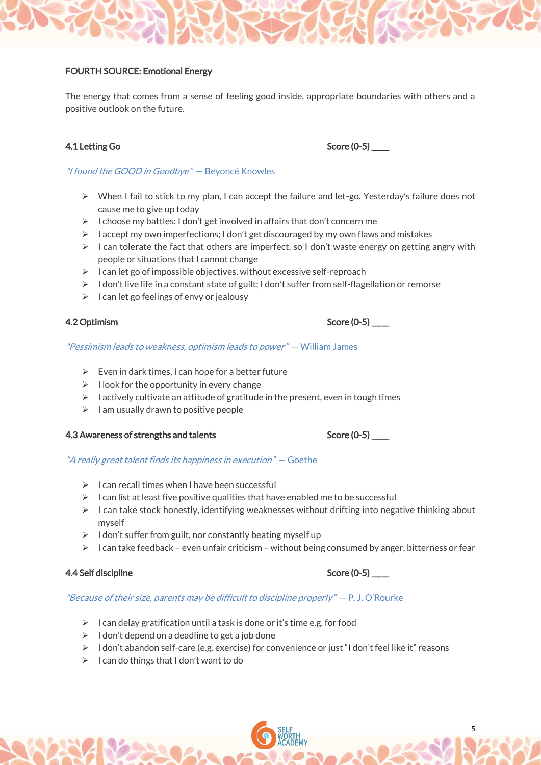# FOURTH SOURCE: Emotional Energy

The energy that comes from a sense of feeling good inside, appropriate boundaries with others and a positive outlook on the future.

"I found the GOOD in Goodbye" — Beyoncé Knowles

- ➢ When I fail to stick to my plan, I can accept the failure and let-go. Yesterday's failure does not cause me to give up today
- $\triangleright$  I choose my battles: I don't get involved in affairs that don't concern me
- $\triangleright$  I accept my own imperfections; I don't get discouraged by my own flaws and mistakes
- $\triangleright$  I can tolerate the fact that others are imperfect, so I don't waste energy on getting angry with people or situations that I cannot change
- ➢ I can let go of impossible objectives, without excessive self-reproach
- $\geq 1$  don't live life in a constant state of guilt; I don't suffer from self-flagellation or remorse
- $\triangleright$  I can let go feelings of envy or jealousy

# 4.2 Optimism Score (0-5)

### "Pessimism leads to weakness, optimism leads to power" — William James

- $\triangleright$  Even in dark times, I can hope for a better future
- $\triangleright$  I look for the opportunity in every change
- $\triangleright$  I actively cultivate an attitude of gratitude in the present, even in tough times
- $\triangleright$  I am usually drawn to positive people

# 4.3 Awareness of strengths and talents Score (0-5) \_\_\_\_\_

### "A really great talent finds its happiness in execution" – Goethe

- $\triangleright$  I can recall times when I have been successful
- $\triangleright$  I can list at least five positive qualities that have enabled me to be successful
- $\triangleright$  I can take stock honestly, identifying weaknesses without drifting into negative thinking about myself
- $\geq 1$  don't suffer from guilt, nor constantly beating myself up
- $\triangleright$  I can take feedback even unfair criticism without being consumed by anger, bitterness or fear

# 4.4 Self discipline Score (0-5) \_\_\_\_\_

### "Because of their size, parents may be difficult to discipline properly"  $- P. J. O'$ Rourke

- $\geq 1$  can delay gratification until a task is done or it's time e.g. for food
- $\triangleright$  I don't depend on a deadline to get a job done
- ➢ I don't abandon self-care (e.g. exercise) for convenience or just "I don't feel like it" reasons
- $\geq 1$  can do things that I don't want to do

# 4.1 Letting Go Score (0-5) Score (0-5)



5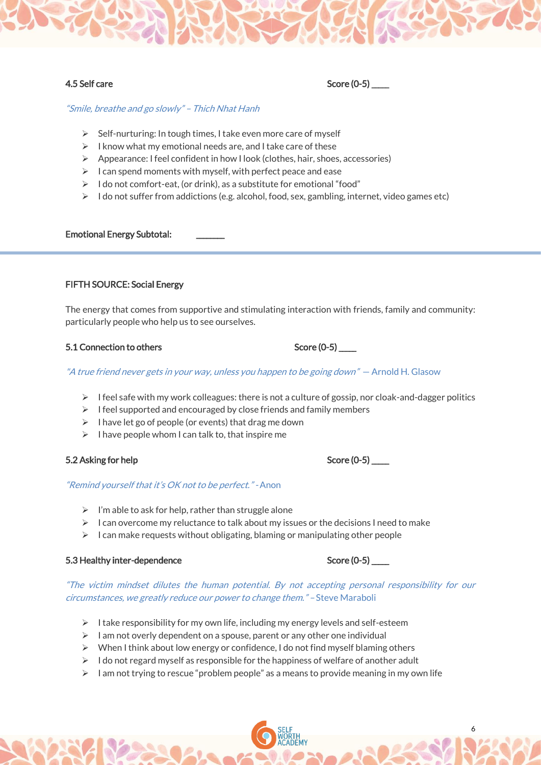"Smile, breathe and go slowly" – Thich Nhat Hanh

- ➢ Self-nurturing: In tough times, I take even more care of myself
- $\triangleright$  I know what my emotional needs are, and I take care of these
- ➢ Appearance: I feel confident in how I look (clothes, hair, shoes, accessories)
- $\triangleright$  I can spend moments with myself, with perfect peace and ease
- ➢ I do not comfort-eat, (or drink), as a substitute for emotional "food"
- $\geq 1$  do not suffer from addictions (e.g. alcohol, food, sex, gambling, internet, video games etc)

### Emotional Energy Subtotal: \_\_\_\_\_\_\_\_

# FIFTH SOURCE: Social Energy

The energy that comes from supportive and stimulating interaction with friends, family and community: particularly people who help us to see ourselves.

### 5.1 Connection to others Score (0-5) Score (0-5)

"A true friend never gets in your way, unless you happen to be going down" - Arnold H. Glasow

- $\triangleright$  I feel safe with my work colleagues: there is not a culture of gossip, nor cloak-and-dagger politics
- $\triangleright$  I feel supported and encouraged by close friends and family members
- ➢ I have let go of people (or events) that drag me down
- $\triangleright$  I have people whom I can talk to, that inspire me

### 5.2 Asking for help Score (0-5) \_\_\_\_\_

### "Remind yourself that it's OK not to be perfect." - Anon

- $\triangleright$  I'm able to ask for help, rather than struggle alone
- $\triangleright$  I can overcome my reluctance to talk about my issues or the decisions I need to make
- $\triangleright$  I can make requests without obligating, blaming or manipulating other people

### 5.3 Healthy inter-dependence Score (0-5) Score (0-5)

"The victim mindset dilutes the human potential. By not accepting personal responsibility for our circumstances, we greatly reduce our power to change them." – Steve Maraboli

- ➢ I take responsibility for my own life, including my energy levels and self-esteem
- $\triangleright$  I am not overly dependent on a spouse, parent or any other one individual
- $\triangleright$  When I think about low energy or confidence, I do not find myself blaming others
- $\triangleright$  I do not regard myself as responsible for the happiness of welfare of another adult
- $\triangleright$  I am not trying to rescue "problem people" as a means to provide meaning in my own life

6

4.5 Self care Score (0-5)  $\sim$  Score (0-5)

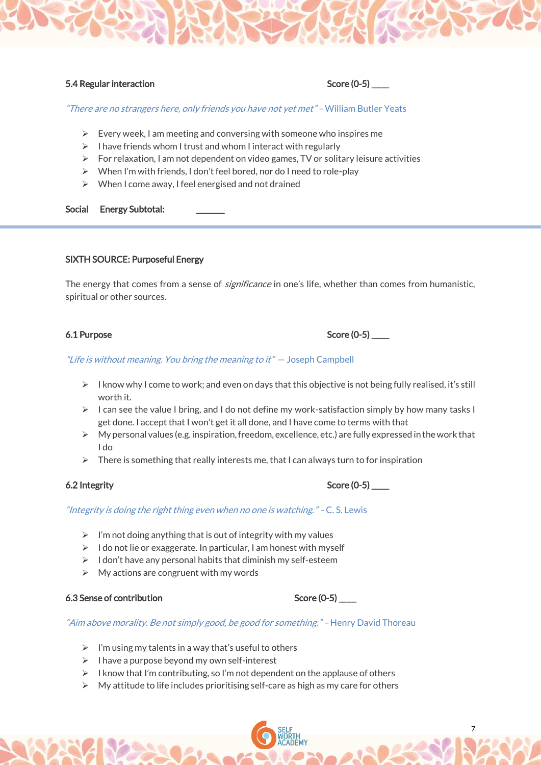# 5.4 Regular interaction Score (0-5)  $\sim$  Score (0-5)

"There are no strangers here, only friends you have not yet met" – William Butler Yeats

- $\triangleright$  Every week, I am meeting and conversing with someone who inspires me
- $\triangleright$  I have friends whom I trust and whom I interact with regularly
- $\triangleright$  For relaxation, I am not dependent on video games, TV or solitary leisure activities
- ➢ When I'm with friends, I don't feel bored, nor do I need to role-play
- ➢ When I come away, I feel energised and not drained

### Social Energy Subtotal:

# SIXTH SOURCE: Purposeful Energy

The energy that comes from a sense of *significance* in one's life, whether than comes from humanistic, spiritual or other sources.

# "Life is without meaning. You bring the meaning to it" - Joseph Campbell

- $\triangleright$  I know why I come to work; and even on days that this objective is not being fully realised, it's still worth it.
- $\triangleright$  I can see the value I bring, and I do not define my work-satisfaction simply by how many tasks I get done. I accept that I won't get it all done, and I have come to terms with that
- ➢ My personal values (e.g. inspiration, freedom, excellence, etc.) are fully expressed in the work that I do
- $\triangleright$  There is something that really interests me, that I can always turn to for inspiration

# 6.2 Integrity Score (0-5)

"Integrity is doing the right thing even when no one is watching." - C.S. Lewis

- $\triangleright$  I'm not doing anything that is out of integrity with my values
- $\triangleright$  I do not lie or exaggerate. In particular, I am honest with myself
- $\triangleright$  I don't have any personal habits that diminish my self-esteem
- $\triangleright$  My actions are congruent with my words

# 6.3 Sense of contribution Score (0-5) \_\_\_\_\_

### "Aim above morality. Be not simply good, be good for something." – Henry David Thoreau

- $\triangleright$  I'm using my talents in a way that's useful to others
- ➢ I have a purpose beyond my own self-interest
- $\triangleright$  I know that I'm contributing, so I'm not dependent on the applause of others
- $\triangleright$  My attitude to life includes prioritising self-care as high as my care for others

7

6.1 Purpose Score (0-5)